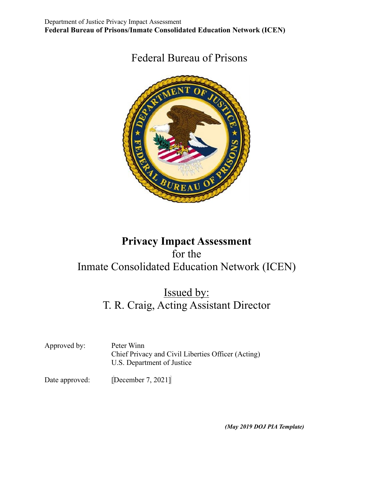Federal Bureau of Prisons



# **Privacy Impact Assessment** for the Inmate Consolidated Education Network (ICEN)

## Issued by: T. R. Craig, Acting Assistant Director

Approved by: Peter Winn Chief Privacy and Civil Liberties Officer (Acting) U.S. Department of Justice

Date approved: [December 7, 2021]

*(May 2019 DOJ PIA Template)*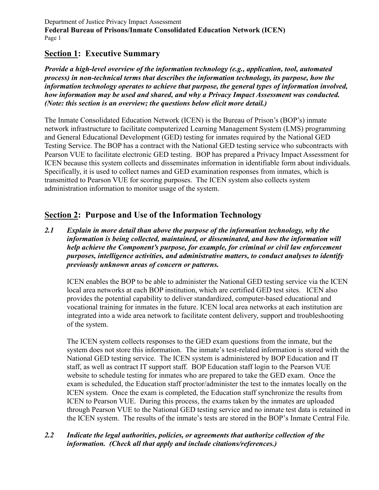## **Section 1: Executive Summary**

*Provide a high-level overview of the information technology (e.g., application, tool, automated process) in non-technical terms that describes the information technology, its purpose, how the information technology operates to achieve that purpose, the general types of information involved, how information may be used and shared, and why a Privacy Impact Assessment was conducted. (Note: this section is an overview; the questions below elicit more detail.)*

The Inmate Consolidated Education Network (ICEN) is the Bureau of Prison's (BOP's) inmate network infrastructure to facilitate computerized Learning Management System (LMS) programming and General Educational Development (GED) testing for inmates required by the National GED Testing Service. The BOP has a contract with the National GED testing service who subcontracts with Pearson VUE to facilitate electronic GED testing. BOP has prepared a Privacy Impact Assessment for ICEN because this system collects and disseminates information in identifiable form about individuals. Specifically, it is used to collect names and GED examination responses from inmates, which is transmitted to Pearson VUE for scoring purposes. The ICEN system also collects system administration information to monitor usage of the system.

## **Section 2: Purpose and Use of the Information Technology**

*2.1 Explain in more detail than above the purpose of the information technology, why the information is being collected, maintained, or disseminated, and how the information will help achieve the Component's purpose, for example, for criminal or civil law enforcement purposes, intelligence activities, and administrative matters, to conduct analyses to identify previously unknown areas of concern or patterns.*

ICEN enables the BOP to be able to administer the National GED testing service via the ICEN local area networks at each BOP institution, which are certified GED test sites. ICEN also provides the potential capability to deliver standardized, computer-based educational and vocational training for inmates in the future. ICEN local area networks at each institution are integrated into a wide area network to facilitate content delivery, support and troubleshooting of the system.

The ICEN system collects responses to the GED exam questions from the inmate, but the system does not store this information. The inmate's test-related information is stored with the National GED testing service. The ICEN system is administered by BOP Education and IT staff, as well as contract IT support staff. BOP Education staff login to the Pearson VUE website to schedule testing for inmates who are prepared to take the GED exam. Once the exam is scheduled, the Education staff proctor/administer the test to the inmates locally on the ICEN system. Once the exam is completed, the Education staff synchronize the results from ICEN to Pearson VUE. During this process, the exams taken by the inmates are uploaded through Pearson VUE to the National GED testing service and no inmate test data is retained in the ICEN system. The results of the inmate's tests are stored in the BOP's Inmate Central File.

#### *2.2 Indicate the legal authorities, policies, or agreements that authorize collection of the information. (Check all that apply and include citations/references.)*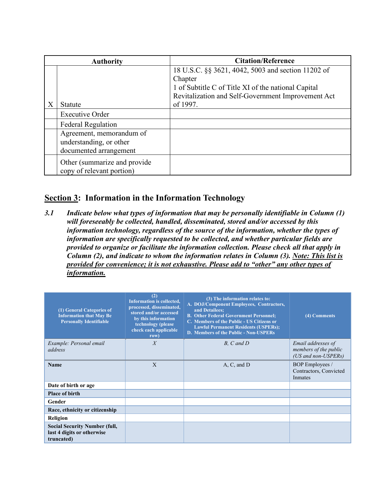| <b>Authority</b>                                                              | <b>Citation/Reference</b>                                                                                                                                                  |
|-------------------------------------------------------------------------------|----------------------------------------------------------------------------------------------------------------------------------------------------------------------------|
|                                                                               | 18 U.S.C. §§ 3621, 4042, 5003 and section 11202 of<br>Chapter<br>1 of Subtitle C of Title XI of the national Capital<br>Revitalization and Self-Government Improvement Act |
| Statute                                                                       | of 1997.                                                                                                                                                                   |
| <b>Executive Order</b>                                                        |                                                                                                                                                                            |
| <b>Federal Regulation</b>                                                     |                                                                                                                                                                            |
| Agreement, memorandum of<br>understanding, or other<br>documented arrangement |                                                                                                                                                                            |
| Other (summarize and provide)<br>copy of relevant portion)                    |                                                                                                                                                                            |

## **Section 3: Information in the Information Technology**

*3.1 Indicate below what types of information that may be personally identifiable in Column (1) will foreseeably be collected, handled, disseminated, stored and/or accessed by this information technology, regardless of the source of the information, whether the types of information are specifically requested to be collected, and whether particular fields are provided to organize or facilitate the information collection. Please check all that apply in Column (2), and indicate to whom the information relates in Column (3). Note: This list is provided for convenience; it is not exhaustive. Please add to "other" any other types of information.*

| (1) General Categories of<br><b>Information that May Be</b><br><b>Personally Identifiable</b> | (2)<br><b>Information is collected,</b><br>processed, disseminated,<br>stored and/or accessed<br>by this information<br>technology (please<br>check each applicable<br>row) | (3) The information relates to:<br>A. DOJ/Component Employees, Contractors,<br>and Detailees;<br><b>B. Other Federal Government Personnel;</b><br>C. Members of the Public - US Citizens or<br><b>Lawful Permanent Residents (USPERs);</b><br><b>D. Members of the Public - Non-USPERs</b> | (4) Comments                                                         |
|-----------------------------------------------------------------------------------------------|-----------------------------------------------------------------------------------------------------------------------------------------------------------------------------|--------------------------------------------------------------------------------------------------------------------------------------------------------------------------------------------------------------------------------------------------------------------------------------------|----------------------------------------------------------------------|
| Example: Personal email<br>address                                                            | $\boldsymbol{X}$                                                                                                                                                            | $B, C \text{ and } D$                                                                                                                                                                                                                                                                      | Email addresses of<br>members of the public<br>$(US and non-USPERs)$ |
| <b>Name</b>                                                                                   | X                                                                                                                                                                           | A, C, and D                                                                                                                                                                                                                                                                                | <b>BOP</b> Employees /<br>Contractors, Convicted<br>Inmates          |
| Date of birth or age                                                                          |                                                                                                                                                                             |                                                                                                                                                                                                                                                                                            |                                                                      |
| <b>Place of birth</b>                                                                         |                                                                                                                                                                             |                                                                                                                                                                                                                                                                                            |                                                                      |
| Gender                                                                                        |                                                                                                                                                                             |                                                                                                                                                                                                                                                                                            |                                                                      |
| Race, ethnicity or citizenship                                                                |                                                                                                                                                                             |                                                                                                                                                                                                                                                                                            |                                                                      |
| Religion                                                                                      |                                                                                                                                                                             |                                                                                                                                                                                                                                                                                            |                                                                      |
| <b>Social Security Number (full,</b><br>last 4 digits or otherwise<br>truncated)              |                                                                                                                                                                             |                                                                                                                                                                                                                                                                                            |                                                                      |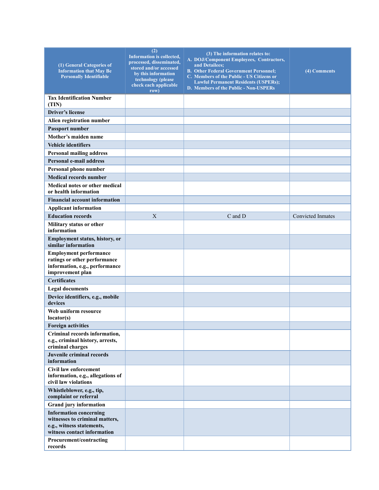| (1) General Categories of<br><b>Information that May Be</b><br><b>Personally Identifiable</b>                               | (2)<br><b>Information is collected,</b><br>processed, disseminated,<br>stored and/or accessed<br>by this information<br>technology (please<br>check each applicable<br>row) | (3) The information relates to:<br>A. DOJ/Component Employees, Contractors,<br>and Detailees;<br><b>B. Other Federal Government Personnel:</b><br>C. Members of the Public - US Citizens or<br><b>Lawful Permanent Residents (USPERs);</b><br>D. Members of the Public - Non-USPERs | (4) Comments             |
|-----------------------------------------------------------------------------------------------------------------------------|-----------------------------------------------------------------------------------------------------------------------------------------------------------------------------|-------------------------------------------------------------------------------------------------------------------------------------------------------------------------------------------------------------------------------------------------------------------------------------|--------------------------|
| <b>Tax Identification Number</b><br>(TIN)                                                                                   |                                                                                                                                                                             |                                                                                                                                                                                                                                                                                     |                          |
| Driver's license                                                                                                            |                                                                                                                                                                             |                                                                                                                                                                                                                                                                                     |                          |
| Alien registration number                                                                                                   |                                                                                                                                                                             |                                                                                                                                                                                                                                                                                     |                          |
| Passport number                                                                                                             |                                                                                                                                                                             |                                                                                                                                                                                                                                                                                     |                          |
| Mother's maiden name                                                                                                        |                                                                                                                                                                             |                                                                                                                                                                                                                                                                                     |                          |
| <b>Vehicle identifiers</b>                                                                                                  |                                                                                                                                                                             |                                                                                                                                                                                                                                                                                     |                          |
| <b>Personal mailing address</b>                                                                                             |                                                                                                                                                                             |                                                                                                                                                                                                                                                                                     |                          |
| Personal e-mail address                                                                                                     |                                                                                                                                                                             |                                                                                                                                                                                                                                                                                     |                          |
| Personal phone number                                                                                                       |                                                                                                                                                                             |                                                                                                                                                                                                                                                                                     |                          |
| <b>Medical records number</b>                                                                                               |                                                                                                                                                                             |                                                                                                                                                                                                                                                                                     |                          |
| Medical notes or other medical<br>or health information                                                                     |                                                                                                                                                                             |                                                                                                                                                                                                                                                                                     |                          |
| <b>Financial account information</b>                                                                                        |                                                                                                                                                                             |                                                                                                                                                                                                                                                                                     |                          |
| <b>Applicant information</b>                                                                                                |                                                                                                                                                                             |                                                                                                                                                                                                                                                                                     |                          |
| <b>Education records</b>                                                                                                    | X                                                                                                                                                                           | C and D                                                                                                                                                                                                                                                                             | <b>Convicted Inmates</b> |
| Military status or other<br>information                                                                                     |                                                                                                                                                                             |                                                                                                                                                                                                                                                                                     |                          |
| Employment status, history, or<br>similar information                                                                       |                                                                                                                                                                             |                                                                                                                                                                                                                                                                                     |                          |
| <b>Employment performance</b><br>ratings or other performance<br>information, e.g., performance<br>improvement plan         |                                                                                                                                                                             |                                                                                                                                                                                                                                                                                     |                          |
| <b>Certificates</b>                                                                                                         |                                                                                                                                                                             |                                                                                                                                                                                                                                                                                     |                          |
| <b>Legal documents</b>                                                                                                      |                                                                                                                                                                             |                                                                                                                                                                                                                                                                                     |                          |
| Device identifiers, e.g., mobile<br>devices                                                                                 |                                                                                                                                                                             |                                                                                                                                                                                                                                                                                     |                          |
| Web uniform resource<br>location(s)                                                                                         |                                                                                                                                                                             |                                                                                                                                                                                                                                                                                     |                          |
| <b>Foreign activities</b>                                                                                                   |                                                                                                                                                                             |                                                                                                                                                                                                                                                                                     |                          |
| Criminal records information,<br>e.g., criminal history, arrests,<br>criminal charges                                       |                                                                                                                                                                             |                                                                                                                                                                                                                                                                                     |                          |
| Juvenile criminal records<br>information                                                                                    |                                                                                                                                                                             |                                                                                                                                                                                                                                                                                     |                          |
| Civil law enforcement<br>information, e.g., allegations of<br>civil law violations                                          |                                                                                                                                                                             |                                                                                                                                                                                                                                                                                     |                          |
| Whistleblower, e.g., tip,<br>complaint or referral                                                                          |                                                                                                                                                                             |                                                                                                                                                                                                                                                                                     |                          |
| <b>Grand jury information</b>                                                                                               |                                                                                                                                                                             |                                                                                                                                                                                                                                                                                     |                          |
| <b>Information concerning</b><br>witnesses to criminal matters,<br>e.g., witness statements,<br>witness contact information |                                                                                                                                                                             |                                                                                                                                                                                                                                                                                     |                          |
| Procurement/contracting<br>records                                                                                          |                                                                                                                                                                             |                                                                                                                                                                                                                                                                                     |                          |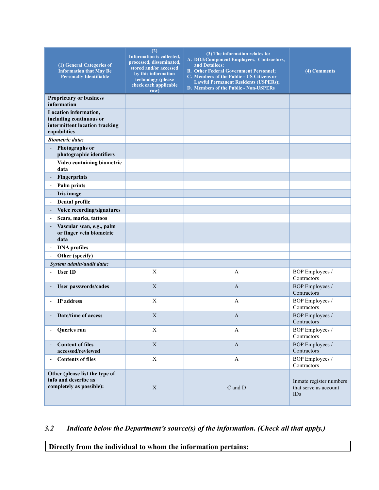| (1) General Categories of<br><b>Information that May Be</b><br><b>Personally Identifiable</b>      | (2)<br><b>Information is collected,</b><br>processed, disseminated,<br>stored and/or accessed<br>by this information<br>technology (please<br>check each applicable<br>$\overline{\text{row}}$ | (3) The information relates to:<br>A. DOJ/Component Employees, Contractors,<br>and Detailees;<br><b>B. Other Federal Government Personnel;</b><br>C. Members of the Public - US Citizens or<br><b>Lawful Permanent Residents (USPERs);</b><br>D. Members of the Public - Non-USPERs | (4) Comments                                            |
|----------------------------------------------------------------------------------------------------|------------------------------------------------------------------------------------------------------------------------------------------------------------------------------------------------|-------------------------------------------------------------------------------------------------------------------------------------------------------------------------------------------------------------------------------------------------------------------------------------|---------------------------------------------------------|
| <b>Proprietary or business</b><br>information                                                      |                                                                                                                                                                                                |                                                                                                                                                                                                                                                                                     |                                                         |
| Location information,<br>including continuous or<br>intermittent location tracking<br>capabilities |                                                                                                                                                                                                |                                                                                                                                                                                                                                                                                     |                                                         |
| <b>Biometric data:</b>                                                                             |                                                                                                                                                                                                |                                                                                                                                                                                                                                                                                     |                                                         |
| Photographs or<br>photographic identifiers                                                         |                                                                                                                                                                                                |                                                                                                                                                                                                                                                                                     |                                                         |
| Video containing biometric<br>data                                                                 |                                                                                                                                                                                                |                                                                                                                                                                                                                                                                                     |                                                         |
| Fingerprints                                                                                       |                                                                                                                                                                                                |                                                                                                                                                                                                                                                                                     |                                                         |
| Palm prints                                                                                        |                                                                                                                                                                                                |                                                                                                                                                                                                                                                                                     |                                                         |
| Iris image                                                                                         |                                                                                                                                                                                                |                                                                                                                                                                                                                                                                                     |                                                         |
| Dental profile                                                                                     |                                                                                                                                                                                                |                                                                                                                                                                                                                                                                                     |                                                         |
| Voice recording/signatures                                                                         |                                                                                                                                                                                                |                                                                                                                                                                                                                                                                                     |                                                         |
| Scars, marks, tattoos                                                                              |                                                                                                                                                                                                |                                                                                                                                                                                                                                                                                     |                                                         |
| Vascular scan, e.g., palm<br>or finger vein biometric<br>data                                      |                                                                                                                                                                                                |                                                                                                                                                                                                                                                                                     |                                                         |
| <b>DNA</b> profiles                                                                                |                                                                                                                                                                                                |                                                                                                                                                                                                                                                                                     |                                                         |
| Other (specify)                                                                                    |                                                                                                                                                                                                |                                                                                                                                                                                                                                                                                     |                                                         |
| System admin/audit data:                                                                           |                                                                                                                                                                                                |                                                                                                                                                                                                                                                                                     |                                                         |
| <b>User ID</b>                                                                                     | X                                                                                                                                                                                              | A                                                                                                                                                                                                                                                                                   | <b>BOP</b> Employees /<br>Contractors                   |
| <b>User passwords/codes</b>                                                                        | $\boldsymbol{X}$                                                                                                                                                                               | $\mathbf{A}$                                                                                                                                                                                                                                                                        | <b>BOP</b> Employees /<br>Contractors                   |
| <b>IP</b> address                                                                                  | X                                                                                                                                                                                              | A                                                                                                                                                                                                                                                                                   | <b>BOP</b> Employees /<br>Contractors                   |
| Date/time of access                                                                                | $\boldsymbol{X}$                                                                                                                                                                               | A                                                                                                                                                                                                                                                                                   | <b>BOP</b> Employees /<br>Contractors                   |
| Queries run                                                                                        | $\mathbf X$                                                                                                                                                                                    | A                                                                                                                                                                                                                                                                                   | <b>BOP</b> Employees /<br>Contractors                   |
| <b>Content of files</b><br>accessed/reviewed                                                       | $\mathbf X$                                                                                                                                                                                    | $\boldsymbol{\mathrm{A}}$                                                                                                                                                                                                                                                           | <b>BOP</b> Employees /<br>Contractors                   |
| <b>Contents of files</b>                                                                           | $\mathbf X$                                                                                                                                                                                    | $\boldsymbol{A}$                                                                                                                                                                                                                                                                    | <b>BOP</b> Employees /<br>Contractors                   |
| Other (please list the type of<br>info and describe as<br>completely as possible):                 | $\mathbf X$                                                                                                                                                                                    | C and D                                                                                                                                                                                                                                                                             | Inmate register numbers<br>that serve as account<br>IDs |

### *3.2 Indicate below the Department's source(s) of the information. (Check all that apply.)*

**Directly from the individual to whom the information pertains:**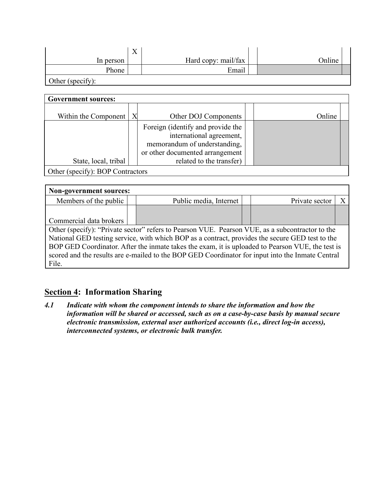|                  | $\mathbf{x}$<br>$\Lambda$ |                     |        |
|------------------|---------------------------|---------------------|--------|
| In person        |                           | Hard copy: mail/fax | Online |
| Phone            |                           | Email               |        |
| Other (specify): |                           |                     |        |

| <b>Government sources:</b>       |   |                                                                                                                                                              |  |        |  |
|----------------------------------|---|--------------------------------------------------------------------------------------------------------------------------------------------------------------|--|--------|--|
| Within the Component             | X | Other DOJ Components                                                                                                                                         |  | Online |  |
| State, local, tribal             |   | Foreign (identify and provide the<br>international agreement,<br>memorandum of understanding,<br>or other documented arrangement<br>related to the transfer) |  |        |  |
| Other (specify): BOP Contractors |   |                                                                                                                                                              |  |        |  |

**Non-government sources:** Members of the public  $\vert$  Public media, Internet  $\vert$  Private sector  $\vert$  X Commercial data brokers Other (specify): "Private sector" refers to Pearson VUE. Pearson VUE, as a subcontractor to the National GED testing service, with which BOP as a contract, provides the secure GED test to the BOP GED Coordinator. After the inmate takes the exam, it is uploaded to Pearson VUE, the test is scored and the results are e-mailed to the BOP GED Coordinator for input into the Inmate Central File.

## **Section 4: Information Sharing**

*4.1 Indicate with whom the component intends to share the information and how the information will be shared or accessed, such as on a case-by-case basis by manual secure electronic transmission, external user authorized accounts (i.e., direct log-in access), interconnected systems, or electronic bulk transfer.*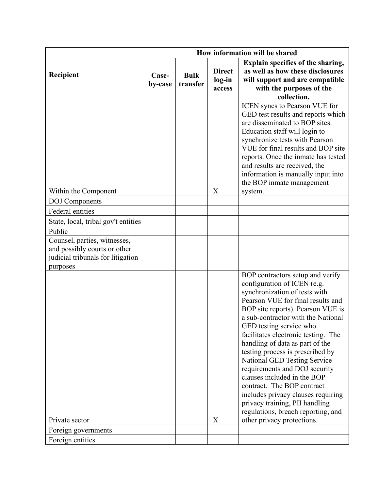| Explain specifics of the sharing,<br>as well as how these disclosures<br><b>Direct</b><br>Recipient<br><b>Bulk</b><br>Case-<br>log-in<br>will support and are compatible<br>transfer<br>by-case<br>with the purposes of the<br>access<br>collection.<br>ICEN syncs to Pearson VUE for<br>GED test results and reports which<br>are disseminated to BOP sites.<br>Education staff will login to<br>synchronize tests with Pearson<br>VUE for final results and BOP site<br>reports. Once the inmate has tested<br>and results are received, the<br>information is manually input into<br>the BOP inmate management<br>X<br>Within the Component<br>system.<br><b>DOJ</b> Components<br>Federal entities<br>State, local, tribal gov't entities<br>Public<br>Counsel, parties, witnesses,<br>and possibly courts or other<br>judicial tribunals for litigation<br>purposes<br>BOP contractors setup and verify<br>configuration of ICEN (e.g.<br>synchronization of tests with<br>Pearson VUE for final results and<br>BOP site reports). Pearson VUE is<br>a sub-contractor with the National<br>GED testing service who<br>facilitates electronic testing. The<br>handling of data as part of the<br>testing process is prescribed by<br>National GED Testing Service<br>requirements and DOJ security<br>clauses included in the BOP<br>contract. The BOP contract<br>includes privacy clauses requiring<br>privacy training, PII handling<br>regulations, breach reporting, and<br>other privacy protections.<br>X<br>Private sector<br>Foreign governments |                  | How information will be shared |  |  |  |
|---------------------------------------------------------------------------------------------------------------------------------------------------------------------------------------------------------------------------------------------------------------------------------------------------------------------------------------------------------------------------------------------------------------------------------------------------------------------------------------------------------------------------------------------------------------------------------------------------------------------------------------------------------------------------------------------------------------------------------------------------------------------------------------------------------------------------------------------------------------------------------------------------------------------------------------------------------------------------------------------------------------------------------------------------------------------------------------------------------------------------------------------------------------------------------------------------------------------------------------------------------------------------------------------------------------------------------------------------------------------------------------------------------------------------------------------------------------------------------------------------------------------------------------------------------------|------------------|--------------------------------|--|--|--|
|                                                                                                                                                                                                                                                                                                                                                                                                                                                                                                                                                                                                                                                                                                                                                                                                                                                                                                                                                                                                                                                                                                                                                                                                                                                                                                                                                                                                                                                                                                                                                               |                  |                                |  |  |  |
|                                                                                                                                                                                                                                                                                                                                                                                                                                                                                                                                                                                                                                                                                                                                                                                                                                                                                                                                                                                                                                                                                                                                                                                                                                                                                                                                                                                                                                                                                                                                                               |                  |                                |  |  |  |
|                                                                                                                                                                                                                                                                                                                                                                                                                                                                                                                                                                                                                                                                                                                                                                                                                                                                                                                                                                                                                                                                                                                                                                                                                                                                                                                                                                                                                                                                                                                                                               |                  |                                |  |  |  |
|                                                                                                                                                                                                                                                                                                                                                                                                                                                                                                                                                                                                                                                                                                                                                                                                                                                                                                                                                                                                                                                                                                                                                                                                                                                                                                                                                                                                                                                                                                                                                               |                  |                                |  |  |  |
|                                                                                                                                                                                                                                                                                                                                                                                                                                                                                                                                                                                                                                                                                                                                                                                                                                                                                                                                                                                                                                                                                                                                                                                                                                                                                                                                                                                                                                                                                                                                                               |                  |                                |  |  |  |
|                                                                                                                                                                                                                                                                                                                                                                                                                                                                                                                                                                                                                                                                                                                                                                                                                                                                                                                                                                                                                                                                                                                                                                                                                                                                                                                                                                                                                                                                                                                                                               |                  |                                |  |  |  |
|                                                                                                                                                                                                                                                                                                                                                                                                                                                                                                                                                                                                                                                                                                                                                                                                                                                                                                                                                                                                                                                                                                                                                                                                                                                                                                                                                                                                                                                                                                                                                               |                  |                                |  |  |  |
|                                                                                                                                                                                                                                                                                                                                                                                                                                                                                                                                                                                                                                                                                                                                                                                                                                                                                                                                                                                                                                                                                                                                                                                                                                                                                                                                                                                                                                                                                                                                                               |                  |                                |  |  |  |
|                                                                                                                                                                                                                                                                                                                                                                                                                                                                                                                                                                                                                                                                                                                                                                                                                                                                                                                                                                                                                                                                                                                                                                                                                                                                                                                                                                                                                                                                                                                                                               |                  |                                |  |  |  |
|                                                                                                                                                                                                                                                                                                                                                                                                                                                                                                                                                                                                                                                                                                                                                                                                                                                                                                                                                                                                                                                                                                                                                                                                                                                                                                                                                                                                                                                                                                                                                               | Foreign entities |                                |  |  |  |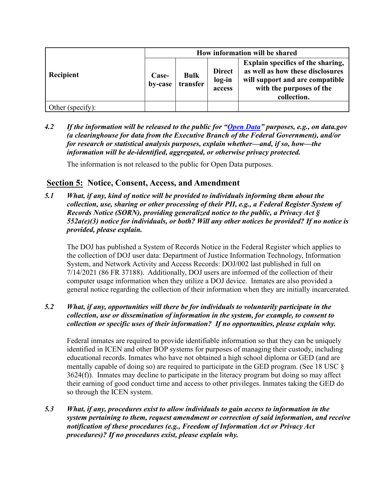|                  | How information will be shared |                         |                                   |                                                                                                                                                     |  |
|------------------|--------------------------------|-------------------------|-----------------------------------|-----------------------------------------------------------------------------------------------------------------------------------------------------|--|
| Recipient        | Case-<br>by-case               | <b>Bulk</b><br>transfer | <b>Direct</b><br>log-in<br>access | Explain specifics of the sharing,<br>as well as how these disclosures<br>will support and are compatible<br>with the purposes of the<br>collection. |  |
| Other (specify): |                                |                         |                                   |                                                                                                                                                     |  |

*4.2 If the information will be released to the public for ["Open Data"](https://www.justice.gov/open/open-data) purposes, e.g., on data.gov (a clearinghouse for data from the Executive Branch of the Federal Government), and/or for research or statistical analysis purposes, explain whether—and, if so, how—the information will be de-identified, aggregated, or otherwise privacy protected.* 

The information is not released to the public for Open Data purposes.

## **Section 5: Notice, Consent, Access, and Amendment**

*5.1 What, if any, kind of notice will be provided to individuals informing them about the collection, use, sharing or other processing of their PII, e.g., a Federal Register System of Records Notice (SORN), providing generalized notice to the public, a Privacy Act § 552a(e)(3) notice for individuals, or both? Will any other notices be provided? If no notice is provided, please explain.*

The DOJ has published a System of Records Notice in the Federal Register which applies to the collection of DOJ user data: Department of Justice Information Technology, Information System, and Network Activity and Access Records: DOJ/002 last published in full on 7/14/2021 (86 FR 37188). Additionally, DOJ users are informed of the collection of their computer usage information when they utilize a DOJ device. Inmates are also provided a general notice regarding the collection of their information when they are initially incarcerated.

#### *5.2 What, if any, opportunities will there be for individuals to voluntarily participate in the collection, use or dissemination of information in the system, for example, to consent to collection or specific uses of their information? If no opportunities, please explain why.*

Federal inmates are required to provide identifiable information so that they can be uniquely identified in ICEN and other BOP systems for purposes of managing their custody, including educational records. Inmates who have not obtained a high school diploma or GED (and are mentally capable of doing so) are required to participate in the GED program. (See 18 USC § 3624(f)). Inmates may decline to participate in the literacy program but doing so may affect their earning of good conduct time and access to other privileges. Inmates taking the GED do so through the ICEN system.

*5.3 What, if any, procedures exist to allow individuals to gain access to information in the system pertaining to them, request amendment or correction of said information, and receive notification of these procedures (e.g., Freedom of Information Act or Privacy Act procedures)? If no procedures exist, please explain why.*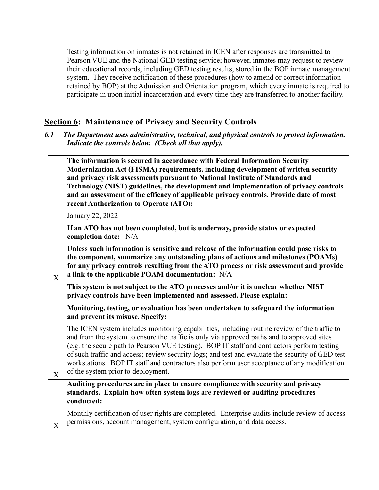Testing information on inmates is not retained in ICEN after responses are transmitted to Pearson VUE and the National GED testing service; however, inmates may request to review their educational records, including GED testing results, stored in the BOP inmate management system. They receive notification of these procedures (how to amend or correct information retained by BOP) at the Admission and Orientation program, which every inmate is required to participate in upon initial incarceration and every time they are transferred to another facility.

## **Section 6: Maintenance of Privacy and Security Controls**

*6.1 The Department uses administrative, technical, and physical controls to protect information. Indicate the controls below. (Check all that apply).*

|   | The information is secured in accordance with Federal Information Security<br>Modernization Act (FISMA) requirements, including development of written security<br>and privacy risk assessments pursuant to National Institute of Standards and<br>Technology (NIST) guidelines, the development and implementation of privacy controls<br>and an assessment of the efficacy of applicable privacy controls. Provide date of most<br>recent Authorization to Operate (ATO):                                                        |
|---|------------------------------------------------------------------------------------------------------------------------------------------------------------------------------------------------------------------------------------------------------------------------------------------------------------------------------------------------------------------------------------------------------------------------------------------------------------------------------------------------------------------------------------|
|   | January 22, 2022                                                                                                                                                                                                                                                                                                                                                                                                                                                                                                                   |
|   | If an ATO has not been completed, but is underway, provide status or expected<br>completion date: N/A                                                                                                                                                                                                                                                                                                                                                                                                                              |
| X | Unless such information is sensitive and release of the information could pose risks to<br>the component, summarize any outstanding plans of actions and milestones (POAMs)<br>for any privacy controls resulting from the ATO process or risk assessment and provide<br>a link to the applicable POAM documentation: N/A                                                                                                                                                                                                          |
|   | This system is not subject to the ATO processes and/or it is unclear whether NIST<br>privacy controls have been implemented and assessed. Please explain:                                                                                                                                                                                                                                                                                                                                                                          |
|   | Monitoring, testing, or evaluation has been undertaken to safeguard the information<br>and prevent its misuse. Specify:                                                                                                                                                                                                                                                                                                                                                                                                            |
| X | The ICEN system includes monitoring capabilities, including routine review of the traffic to<br>and from the system to ensure the traffic is only via approved paths and to approved sites<br>(e.g. the secure path to Pearson VUE testing). BOP IT staff and contractors perform testing<br>of such traffic and access; review security logs; and test and evaluate the security of GED test<br>workstations. BOP IT staff and contractors also perform user acceptance of any modification<br>of the system prior to deployment. |
|   | Auditing procedures are in place to ensure compliance with security and privacy<br>standards. Explain how often system logs are reviewed or auditing procedures<br>conducted:                                                                                                                                                                                                                                                                                                                                                      |
| X | Monthly certification of user rights are completed. Enterprise audits include review of access<br>permissions, account management, system configuration, and data access.                                                                                                                                                                                                                                                                                                                                                          |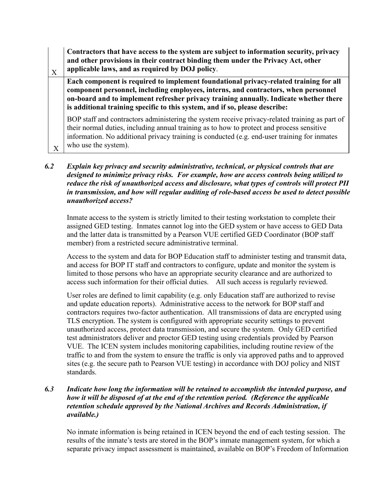**Contractors that have access to the system are subject to information security, privacy and other provisions in their contract binding them under the Privacy Act, other applicable laws, and as required by DOJ policy**.

X

X

**Each component is required to implement foundational privacy-related training for all component personnel, including employees, interns, and contractors, when personnel on-board and to implement refresher privacy training annually. Indicate whether there is additional training specific to this system, and if so, please describe:** 

BOP staff and contractors administering the system receive privacy-related training as part of their normal duties, including annual training as to how to protect and process sensitive information. No additional privacy training is conducted (e.g. end-user training for inmates who use the system).

#### *6.2 Explain key privacy and security administrative, technical, or physical controls that are designed to minimize privacy risks. For example, how are access controls being utilized to reduce the risk of unauthorized access and disclosure, what types of controls will protect PII in transmission, and how will regular auditing of role-based access be used to detect possible unauthorized access?*

Inmate access to the system is strictly limited to their testing workstation to complete their assigned GED testing. Inmates cannot log into the GED system or have access to GED Data and the latter data is transmitted by a Pearson VUE certified GED Coordinator (BOP staff member) from a restricted secure administrative terminal.

Access to the system and data for BOP Education staff to administer testing and transmit data, and access for BOP IT staff and contractors to configure, update and monitor the system is limited to those persons who have an appropriate security clearance and are authorized to access such information for their official duties. All such access is regularly reviewed.

User roles are defined to limit capability (e.g. only Education staff are authorized to revise and update education reports). Administrative access to the network for BOP staff and contractors requires two-factor authentication. All transmissions of data are encrypted using TLS encryption. The system is configured with appropriate security settings to prevent unauthorized access, protect data transmission, and secure the system. Only GED certified test administrators deliver and proctor GED testing using credentials provided by Pearson VUE. The ICEN system includes monitoring capabilities, including routine review of the traffic to and from the system to ensure the traffic is only via approved paths and to approved sites (e.g. the secure path to Pearson VUE testing) in accordance with DOJ policy and NIST standards.

#### *6.3 Indicate how long the information will be retained to accomplish the intended purpose, and how it will be disposed of at the end of the retention period. (Reference the applicable retention schedule approved by the National Archives and Records Administration, if available.)*

No inmate information is being retained in ICEN beyond the end of each testing session. The results of the inmate's tests are stored in the BOP's inmate management system, for which a separate privacy impact assessment is maintained, available on BOP's Freedom of Information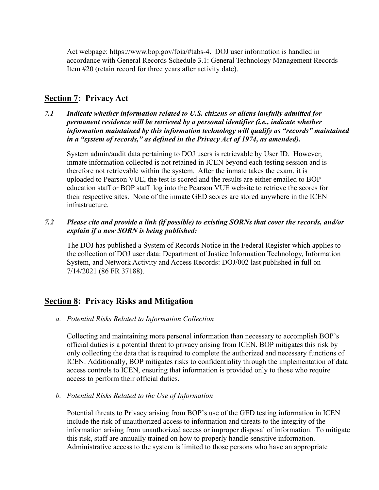Act webpage: https://www.bop.gov/foia/#tabs-4. DOJ user information is handled in accordance with General Records Schedule 3.1: General Technology Management Records Item #20 (retain record for three years after activity date).

### **Section 7: Privacy Act**

*7.1 Indicate whether information related to U.S. citizens or aliens lawfully admitted for permanent residence will be retrieved by a personal identifier (i.e., indicate whether information maintained by this information technology will qualify as "records" maintained in a "system of records," as defined in the Privacy Act of 1974, as amended).*

System admin/audit data pertaining to DOJ users is retrievable by User ID. However, inmate information collected is not retained in ICEN beyond each testing session and is therefore not retrievable within the system. After the inmate takes the exam, it is uploaded to Pearson VUE, the test is scored and the results are either emailed to BOP education staff or BOP staff log into the Pearson VUE website to retrieve the scores for their respective sites. None of the inmate GED scores are stored anywhere in the ICEN infrastructure.

#### *7.2 Please cite and provide a link (if possible) to existing SORNs that cover the records, and/or explain if a new SORN is being published:*

The DOJ has published a System of Records Notice in the Federal Register which applies to the collection of DOJ user data: Department of Justice Information Technology, Information System, and Network Activity and Access Records: DOJ/002 last published in full on 7/14/2021 (86 FR 37188).

#### **Section 8: Privacy Risks and Mitigation**

*a. Potential Risks Related to Information Collection*

Collecting and maintaining more personal information than necessary to accomplish BOP's official duties is a potential threat to privacy arising from ICEN. BOP mitigates this risk by only collecting the data that is required to complete the authorized and necessary functions of ICEN. Additionally, BOP mitigates risks to confidentiality through the implementation of data access controls to ICEN, ensuring that information is provided only to those who require access to perform their official duties.

*b. Potential Risks Related to the Use of Information*

Potential threats to Privacy arising from BOP's use of the GED testing information in ICEN include the risk of unauthorized access to information and threats to the integrity of the information arising from unauthorized access or improper disposal of information. To mitigate this risk, staff are annually trained on how to properly handle sensitive information. Administrative access to the system is limited to those persons who have an appropriate